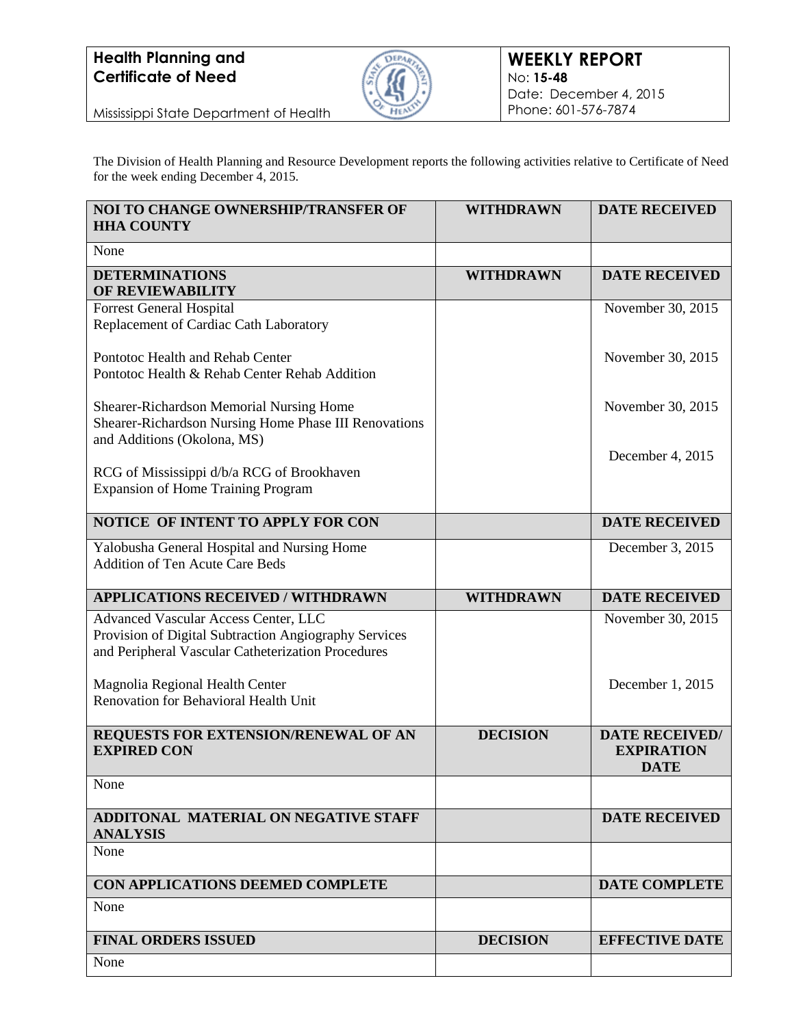

Mississippi State Department of Health

The Division of Health Planning and Resource Development reports the following activities relative to Certificate of Need for the week ending December 4, 2015.

| NOI TO CHANGE OWNERSHIP/TRANSFER OF<br><b>HHA COUNTY</b>                                                                                            | <b>WITHDRAWN</b> | <b>DATE RECEIVED</b>                                      |
|-----------------------------------------------------------------------------------------------------------------------------------------------------|------------------|-----------------------------------------------------------|
| None                                                                                                                                                |                  |                                                           |
| <b>DETERMINATIONS</b><br><b>OF REVIEWABILITY</b>                                                                                                    | <b>WITHDRAWN</b> | <b>DATE RECEIVED</b>                                      |
| <b>Forrest General Hospital</b><br>Replacement of Cardiac Cath Laboratory                                                                           |                  | November 30, 2015                                         |
| Pontotoc Health and Rehab Center<br>Pontotoc Health & Rehab Center Rehab Addition                                                                   |                  | November 30, 2015                                         |
| Shearer-Richardson Memorial Nursing Home<br>Shearer-Richardson Nursing Home Phase III Renovations<br>and Additions (Okolona, MS)                    |                  | November 30, 2015                                         |
| RCG of Mississippi d/b/a RCG of Brookhaven<br><b>Expansion of Home Training Program</b>                                                             |                  | December 4, 2015                                          |
| NOTICE OF INTENT TO APPLY FOR CON                                                                                                                   |                  | <b>DATE RECEIVED</b>                                      |
| Yalobusha General Hospital and Nursing Home<br><b>Addition of Ten Acute Care Beds</b>                                                               |                  | December 3, 2015                                          |
| <b>APPLICATIONS RECEIVED / WITHDRAWN</b>                                                                                                            | <b>WITHDRAWN</b> | <b>DATE RECEIVED</b>                                      |
| Advanced Vascular Access Center, LLC<br>Provision of Digital Subtraction Angiography Services<br>and Peripheral Vascular Catheterization Procedures |                  | November 30, 2015                                         |
| Magnolia Regional Health Center<br>Renovation for Behavioral Health Unit                                                                            |                  | December 1, 2015                                          |
| REQUESTS FOR EXTENSION/RENEWAL OF AN<br><b>EXPIRED CON</b>                                                                                          | <b>DECISION</b>  | <b>DATE RECEIVED/</b><br><b>EXPIRATION</b><br><b>DATE</b> |
| None                                                                                                                                                |                  |                                                           |
| ADDITONAL MATERIAL ON NEGATIVE STAFF<br><b>ANALYSIS</b>                                                                                             |                  | <b>DATE RECEIVED</b>                                      |
| None                                                                                                                                                |                  |                                                           |
| CON APPLICATIONS DEEMED COMPLETE                                                                                                                    |                  | <b>DATE COMPLETE</b>                                      |
| None                                                                                                                                                |                  |                                                           |
| <b>FINAL ORDERS ISSUED</b>                                                                                                                          | <b>DECISION</b>  | <b>EFFECTIVE DATE</b>                                     |
| None                                                                                                                                                |                  |                                                           |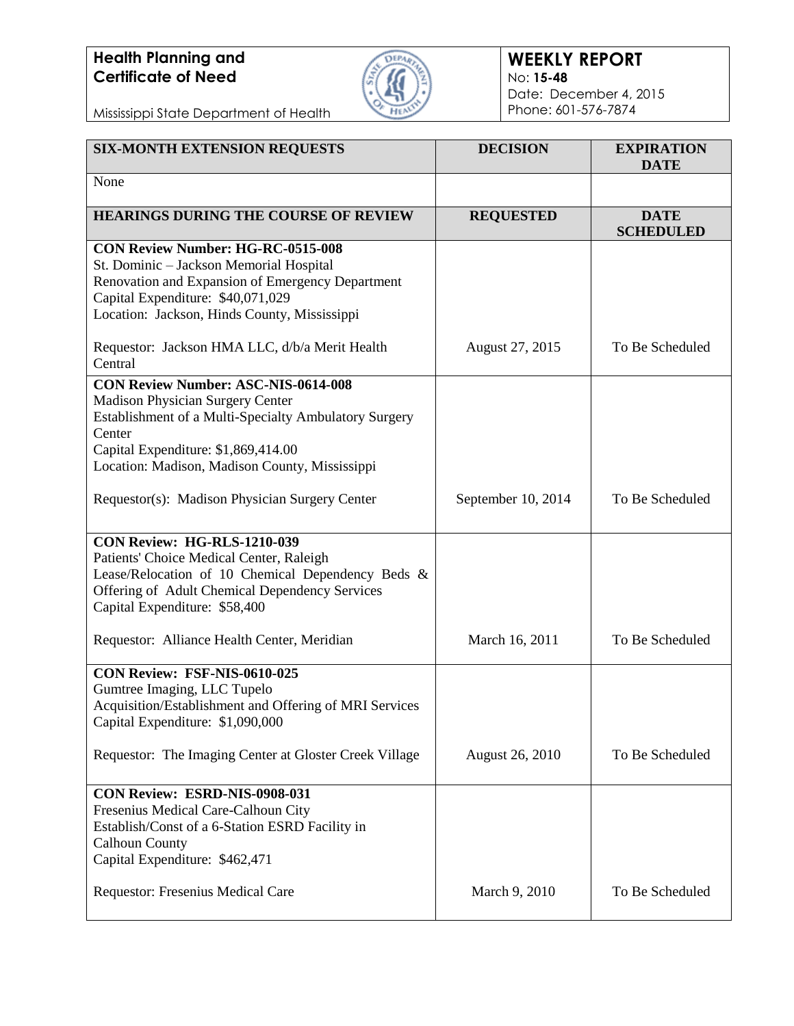

### **WEEKLY REPORT** No: **15-48** Date: December 4, 2015 Phone: 601-576-7874

Mississippi State Department of Health

| <b>SIX-MONTH EXTENSION REQUESTS</b>                                                                                                                                                                                                        | <b>DECISION</b>    | <b>EXPIRATION</b><br><b>DATE</b> |
|--------------------------------------------------------------------------------------------------------------------------------------------------------------------------------------------------------------------------------------------|--------------------|----------------------------------|
| None                                                                                                                                                                                                                                       |                    |                                  |
| HEARINGS DURING THE COURSE OF REVIEW                                                                                                                                                                                                       | <b>REQUESTED</b>   | <b>DATE</b><br><b>SCHEDULED</b>  |
| <b>CON Review Number: HG-RC-0515-008</b><br>St. Dominic - Jackson Memorial Hospital<br>Renovation and Expansion of Emergency Department<br>Capital Expenditure: \$40,071,029<br>Location: Jackson, Hinds County, Mississippi               |                    |                                  |
| Requestor: Jackson HMA LLC, d/b/a Merit Health<br>Central                                                                                                                                                                                  | August 27, 2015    | To Be Scheduled                  |
| <b>CON Review Number: ASC-NIS-0614-008</b><br>Madison Physician Surgery Center<br>Establishment of a Multi-Specialty Ambulatory Surgery<br>Center<br>Capital Expenditure: \$1,869,414.00<br>Location: Madison, Madison County, Mississippi |                    |                                  |
| Requestor(s): Madison Physician Surgery Center                                                                                                                                                                                             | September 10, 2014 | To Be Scheduled                  |
| CON Review: HG-RLS-1210-039<br>Patients' Choice Medical Center, Raleigh<br>Lease/Relocation of 10 Chemical Dependency Beds &<br>Offering of Adult Chemical Dependency Services<br>Capital Expenditure: \$58,400                            |                    |                                  |
| Requestor: Alliance Health Center, Meridian                                                                                                                                                                                                | March 16, 2011     | To Be Scheduled                  |
| <b>CON Review: FSF-NIS-0610-025</b><br>Gumtree Imaging, LLC Tupelo<br>Acquisition/Establishment and Offering of MRI Services<br>Capital Expenditure: \$1,090,000                                                                           |                    |                                  |
| Requestor: The Imaging Center at Gloster Creek Village                                                                                                                                                                                     | August 26, 2010    | To Be Scheduled                  |
| CON Review: ESRD-NIS-0908-031<br>Fresenius Medical Care-Calhoun City<br>Establish/Const of a 6-Station ESRD Facility in<br><b>Calhoun County</b><br>Capital Expenditure: \$462,471                                                         |                    |                                  |
| Requestor: Fresenius Medical Care                                                                                                                                                                                                          | March 9, 2010      | To Be Scheduled                  |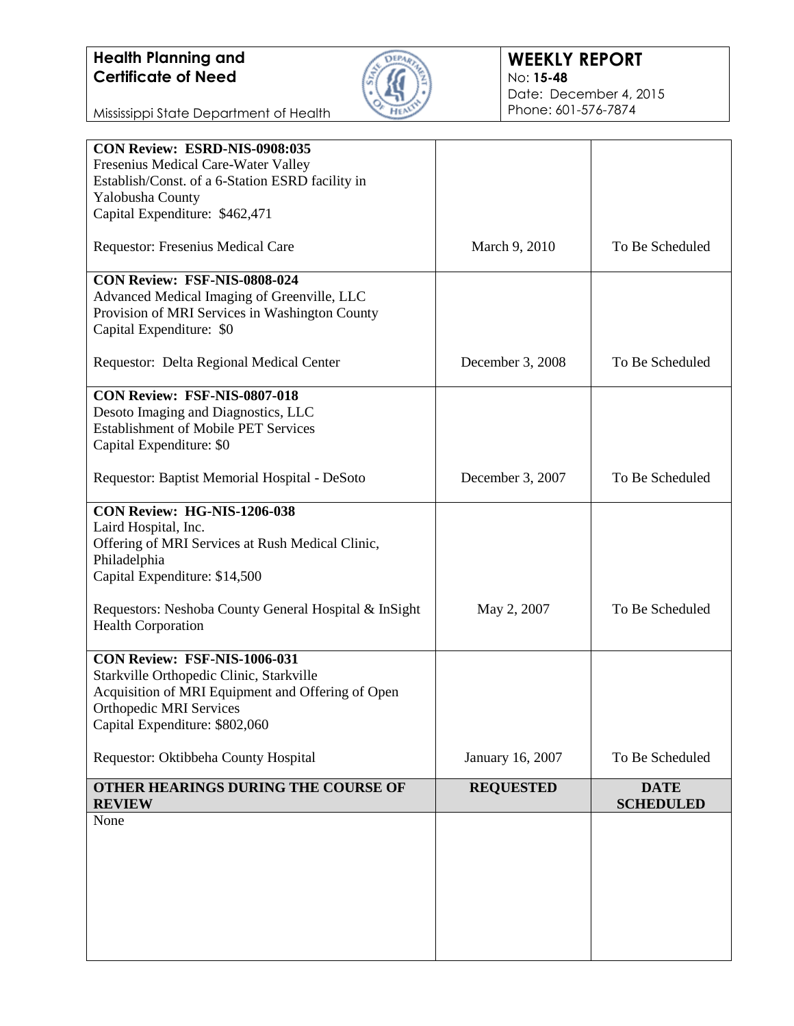

### **WEEKLY REPORT** No: **15-48** Date: December 4, 2015 Phone: 601-576-7874

Mississippi State Department of Health

| CON Review: ESRD-NIS-0908:035                         |                  |                  |
|-------------------------------------------------------|------------------|------------------|
| Fresenius Medical Care-Water Valley                   |                  |                  |
| Establish/Const. of a 6-Station ESRD facility in      |                  |                  |
| Yalobusha County                                      |                  |                  |
|                                                       |                  |                  |
| Capital Expenditure: \$462,471                        |                  |                  |
| Requestor: Fresenius Medical Care                     | March 9, 2010    | To Be Scheduled  |
| CON Review: FSF-NIS-0808-024                          |                  |                  |
| Advanced Medical Imaging of Greenville, LLC           |                  |                  |
| Provision of MRI Services in Washington County        |                  |                  |
| Capital Expenditure: \$0                              |                  |                  |
| Requestor: Delta Regional Medical Center              | December 3, 2008 | To Be Scheduled  |
| CON Review: FSF-NIS-0807-018                          |                  |                  |
| Desoto Imaging and Diagnostics, LLC                   |                  |                  |
| <b>Establishment of Mobile PET Services</b>           |                  |                  |
| Capital Expenditure: \$0                              |                  |                  |
|                                                       |                  |                  |
| Requestor: Baptist Memorial Hospital - DeSoto         | December 3, 2007 | To Be Scheduled  |
| CON Review: HG-NIS-1206-038                           |                  |                  |
| Laird Hospital, Inc.                                  |                  |                  |
| Offering of MRI Services at Rush Medical Clinic,      |                  |                  |
| Philadelphia                                          |                  |                  |
| Capital Expenditure: \$14,500                         |                  |                  |
|                                                       |                  |                  |
| Requestors: Neshoba County General Hospital & InSight | May 2, 2007      | To Be Scheduled  |
| <b>Health Corporation</b>                             |                  |                  |
| CON Review: FSF-NIS-1006-031                          |                  |                  |
| Starkville Orthopedic Clinic, Starkville              |                  |                  |
| Acquisition of MRI Equipment and Offering of Open     |                  |                  |
| <b>Orthopedic MRI Services</b>                        |                  |                  |
| Capital Expenditure: \$802,060                        |                  |                  |
| Requestor: Oktibbeha County Hospital                  | January 16, 2007 | To Be Scheduled  |
| OTHER HEARINGS DURING THE COURSE OF                   | <b>REQUESTED</b> | <b>DATE</b>      |
| <b>REVIEW</b>                                         |                  | <b>SCHEDULED</b> |
| None                                                  |                  |                  |
|                                                       |                  |                  |
|                                                       |                  |                  |
|                                                       |                  |                  |
|                                                       |                  |                  |
|                                                       |                  |                  |
|                                                       |                  |                  |
|                                                       |                  |                  |
|                                                       |                  |                  |